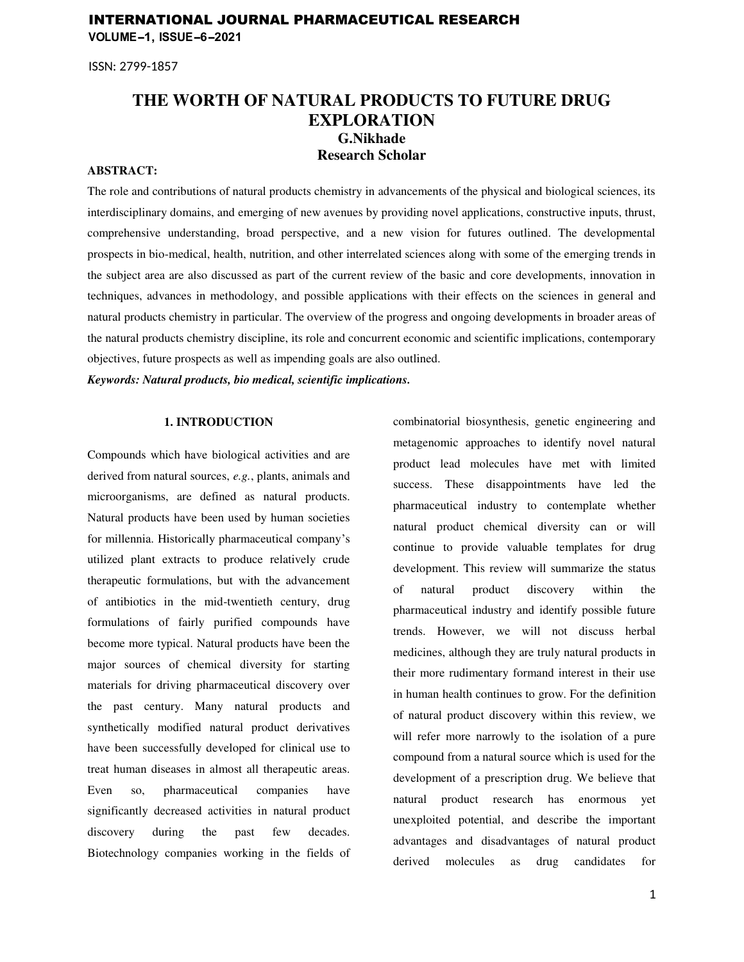## INTERNATIONAL JOURNAL PHARMACEUTICAL RESEARCH **VOLUME-1, ISSUE-6-2021**

ISSN: 2799-1857

# **THE WORTH OF NATURAL PRODUCTS TO FUTURE DRUG EXPLORATION G.Nikhade Research Scholar**

## **ABSTRACT:**

The role and contributions of natural products chemistry in advancements of the physical and biological sciences, its interdisciplinary domains, and emerging of new avenues by providing novel applications, constructive inputs, thrust, comprehensive understanding, broad perspective, and a new vision for futures outlined. The developmental prospects in bio-medical, health, nutrition, and other interrelated sciences along with some of the emerging trends in the subject area are also discussed as part of the current review of the basic and core developments, innovation in techniques, advances in methodology, and possible applications with their effects on the sciences in general and natural products chemistry in particular. The overview of the progress and ongoing developments in broader areas of the natural products chemistry discipline, its role and concurrent economic and scientific implications, contemporary objectives, future prospects as well as impending goals are also outlined.

*Keywords: Natural products, bio medical, scientific implications.* 

### **1. INTRODUCTION**

Compounds which have biological activities and are derived from natural sources, *e.g.*, plants, animals and microorganisms, are defined as natural products. Natural products have been used by human societies for millennia. Historically pharmaceutical company's utilized plant extracts to produce relatively crude therapeutic formulations, but with the advancement of antibiotics in the mid-twentieth century, drug formulations of fairly purified compounds have become more typical. Natural products have been the major sources of chemical diversity for starting materials for driving pharmaceutical discovery over the past century. Many natural products and synthetically modified natural product derivatives have been successfully developed for clinical use to treat human diseases in almost all therapeutic areas. Even so, pharmaceutical companies have significantly decreased activities in natural product discovery during the past few decades. Biotechnology companies working in the fields of

combinatorial biosynthesis, genetic engineering and metagenomic approaches to identify novel natural product lead molecules have met with limited success. These disappointments have led the pharmaceutical industry to contemplate whether natural product chemical diversity can or will continue to provide valuable templates for drug development. This review will summarize the status of natural product discovery within the pharmaceutical industry and identify possible future trends. However, we will not discuss herbal medicines, although they are truly natural products in their more rudimentary formand interest in their use in human health continues to grow. For the definition of natural product discovery within this review, we will refer more narrowly to the isolation of a pure compound from a natural source which is used for the development of a prescription drug. We believe that natural product research has enormous yet unexploited potential, and describe the important advantages and disadvantages of natural product derived molecules as drug candidates for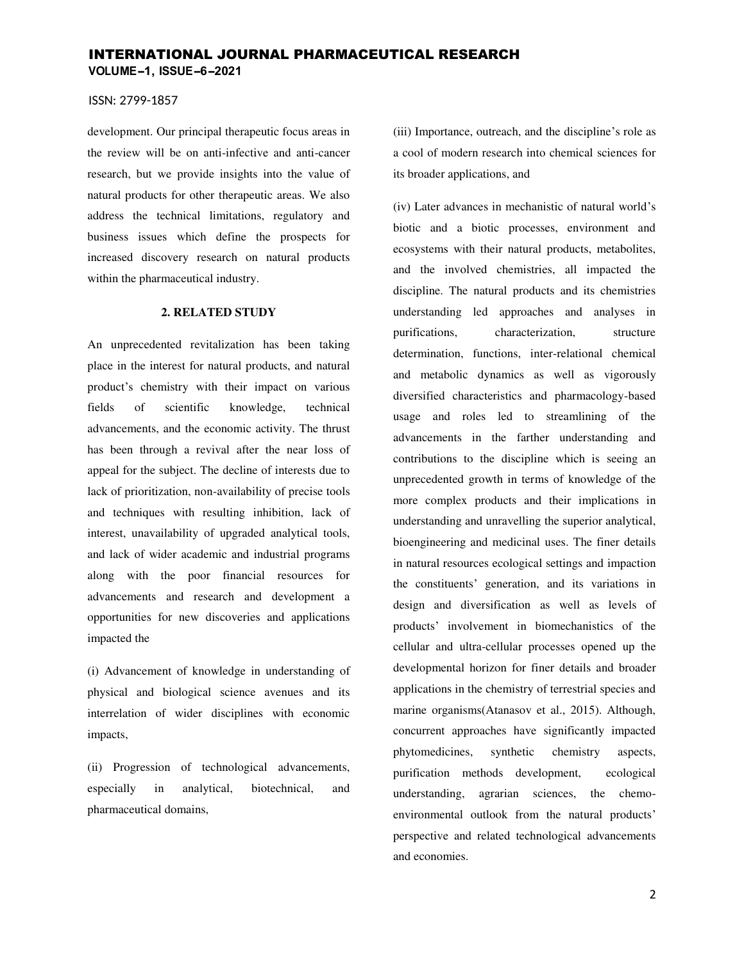### ISSN: 2799-1857

development. Our principal therapeutic focus areas in the review will be on anti-infective and anti-cancer research, but we provide insights into the value of natural products for other therapeutic areas. We also address the technical limitations, regulatory and business issues which define the prospects for increased discovery research on natural products within the pharmaceutical industry.

#### **2. RELATED STUDY**

An unprecedented revitalization has been taking place in the interest for natural products, and natural product's chemistry with their impact on various fields of scientific knowledge, technical advancements, and the economic activity. The thrust has been through a revival after the near loss of appeal for the subject. The decline of interests due to lack of prioritization, non-availability of precise tools and techniques with resulting inhibition, lack of interest, unavailability of upgraded analytical tools, and lack of wider academic and industrial programs along with the poor financial resources for advancements and research and development a opportunities for new discoveries and applications impacted the

(i) Advancement of knowledge in understanding of physical and biological science avenues and its interrelation of wider disciplines with economic impacts,

(ii) Progression of technological advancements, especially in analytical, biotechnical, and pharmaceutical domains,

(iii) Importance, outreach, and the discipline's role as a cool of modern research into chemical sciences for its broader applications, and

(iv) Later advances in mechanistic of natural world's biotic and a biotic processes, environment and ecosystems with their natural products, metabolites, and the involved chemistries, all impacted the discipline. The natural products and its chemistries understanding led approaches and analyses in purifications, characterization, structure determination, functions, inter-relational chemical and metabolic dynamics as well as vigorously diversified characteristics and pharmacology-based usage and roles led to streamlining of the advancements in the farther understanding and contributions to the discipline which is seeing an unprecedented growth in terms of knowledge of the more complex products and their implications in understanding and unravelling the superior analytical, bioengineering and medicinal uses. The finer details in natural resources ecological settings and impaction the constituents' generation, and its variations in design and diversification as well as levels of products' involvement in biomechanistics of the cellular and ultra-cellular processes opened up the developmental horizon for finer details and broader applications in the chemistry of terrestrial species and marine organisms(Atanasov et al., 2015). Although, concurrent approaches have significantly impacted phytomedicines, synthetic chemistry aspects, purification methods development, ecological understanding, agrarian sciences, the chemoenvironmental outlook from the natural products' perspective and related technological advancements and economies.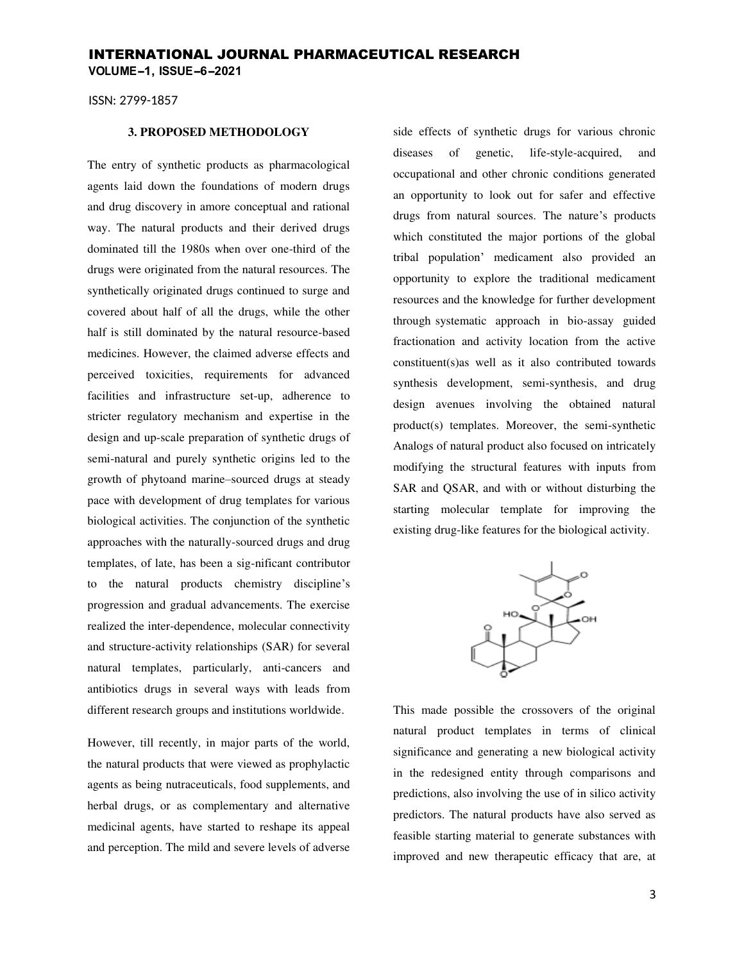ISSN: 2799-1857

### **3. PROPOSED METHODOLOGY**

The entry of synthetic products as pharmacological agents laid down the foundations of modern drugs and drug discovery in amore conceptual and rational way. The natural products and their derived drugs dominated till the 1980s when over one-third of the drugs were originated from the natural resources. The synthetically originated drugs continued to surge and covered about half of all the drugs, while the other half is still dominated by the natural resource-based medicines. However, the claimed adverse effects and perceived toxicities, requirements for advanced facilities and infrastructure set-up, adherence to stricter regulatory mechanism and expertise in the design and up-scale preparation of synthetic drugs of semi-natural and purely synthetic origins led to the growth of phytoand marine–sourced drugs at steady pace with development of drug templates for various biological activities. The conjunction of the synthetic approaches with the naturally-sourced drugs and drug templates, of late, has been a sig-nificant contributor to the natural products chemistry discipline's progression and gradual advancements. The exercise realized the inter-dependence, molecular connectivity and structure-activity relationships (SAR) for several natural templates, particularly, anti-cancers and antibiotics drugs in several ways with leads from different research groups and institutions worldwide.

However, till recently, in major parts of the world, the natural products that were viewed as prophylactic agents as being nutraceuticals, food supplements, and herbal drugs, or as complementary and alternative medicinal agents, have started to reshape its appeal and perception. The mild and severe levels of adverse

side effects of synthetic drugs for various chronic diseases of genetic, life-style-acquired, and occupational and other chronic conditions generated an opportunity to look out for safer and effective drugs from natural sources. The nature's products which constituted the major portions of the global tribal population' medicament also provided an opportunity to explore the traditional medicament resources and the knowledge for further development through systematic approach in bio-assay guided fractionation and activity location from the active constituent(s)as well as it also contributed towards synthesis development, semi-synthesis, and drug design avenues involving the obtained natural product(s) templates. Moreover, the semi-synthetic Analogs of natural product also focused on intricately modifying the structural features with inputs from SAR and QSAR, and with or without disturbing the starting molecular template for improving the existing drug-like features for the biological activity.



This made possible the crossovers of the original natural product templates in terms of clinical significance and generating a new biological activity in the redesigned entity through comparisons and predictions, also involving the use of in silico activity predictors. The natural products have also served as feasible starting material to generate substances with improved and new therapeutic efficacy that are, at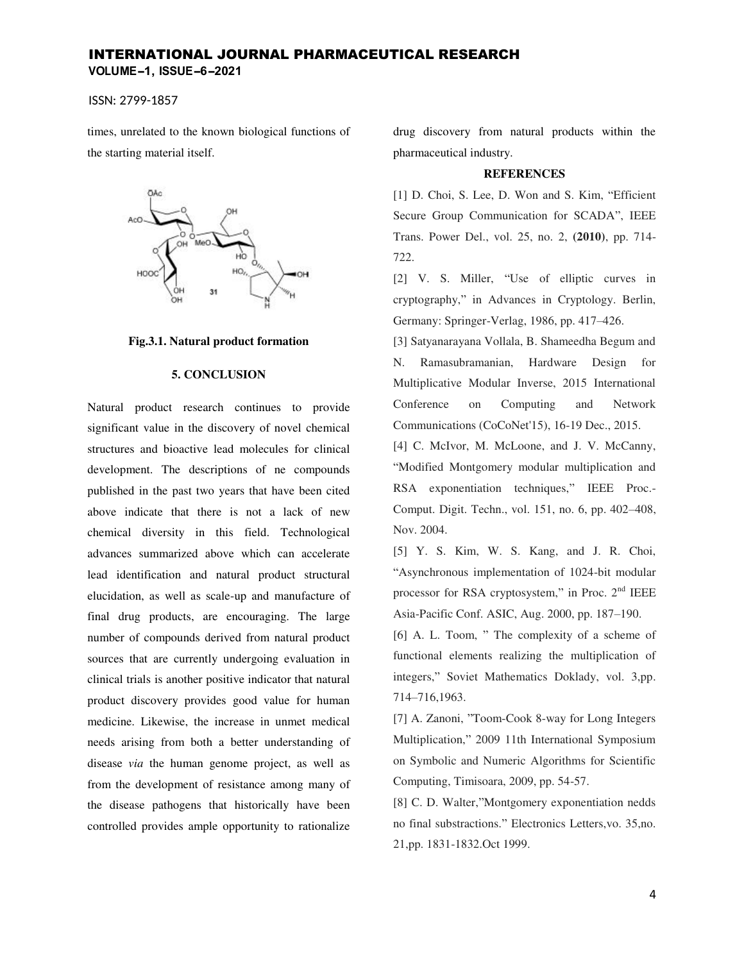# INTERNATIONAL JOURNAL PHARMACEUTICAL RESEARCH **VOLUME-1, ISSUE-6-2021**

ISSN: 2799-1857

times, unrelated to the known biological functions of the starting material itself.



#### **Fig.3.1. Natural product formation**

### **5. CONCLUSION**

Natural product research continues to provide significant value in the discovery of novel chemical structures and bioactive lead molecules for clinical development. The descriptions of ne compounds published in the past two years that have been cited above indicate that there is not a lack of new chemical diversity in this field. Technological advances summarized above which can accelerate lead identification and natural product structural elucidation, as well as scale-up and manufacture of final drug products, are encouraging. The large number of compounds derived from natural product sources that are currently undergoing evaluation in clinical trials is another positive indicator that natural product discovery provides good value for human medicine. Likewise, the increase in unmet medical needs arising from both a better understanding of disease *via* the human genome project, as well as from the development of resistance among many of the disease pathogens that historically have been controlled provides ample opportunity to rationalize

drug discovery from natural products within the pharmaceutical industry.

#### **REFERENCES**

[1] D. Choi, S. Lee, D. Won and S. Kim, "Efficient Secure Group Communication for SCADA", IEEE Trans. Power Del., vol. 25, no. 2, **(2010)**, pp. 714- 722.

[2] V. S. Miller, "Use of elliptic curves in cryptography," in Advances in Cryptology. Berlin, Germany: Springer-Verlag, 1986, pp. 417–426.

[3] Satyanarayana Vollala, B. Shameedha Begum and N. Ramasubramanian, Hardware Design for Multiplicative Modular Inverse, 2015 International Conference on Computing and Network Communications (CoCoNet'15), 16-19 Dec., 2015.

[4] C. McIvor, M. McLoone, and J. V. McCanny, "Modified Montgomery modular multiplication and RSA exponentiation techniques," IEEE Proc.- Comput. Digit. Techn., vol. 151, no. 6, pp. 402–408, Nov. 2004.

[5] Y. S. Kim, W. S. Kang, and J. R. Choi, "Asynchronous implementation of 1024-bit modular processor for RSA cryptosystem," in Proc.  $2<sup>nd</sup> IEEE$ Asia-Pacific Conf. ASIC, Aug. 2000, pp. 187–190.

[6] A. L. Toom, " The complexity of a scheme of functional elements realizing the multiplication of integers," Soviet Mathematics Doklady, vol. 3,pp. 714–716,1963.

[7] A. Zanoni, "Toom-Cook 8-way for Long Integers Multiplication," 2009 11th International Symposium on Symbolic and Numeric Algorithms for Scientific Computing, Timisoara, 2009, pp. 54-57.

[8] C. D. Walter,"Montgomery exponentiation nedds no final substractions." Electronics Letters,vo. 35,no. 21,pp. 1831-1832.Oct 1999.